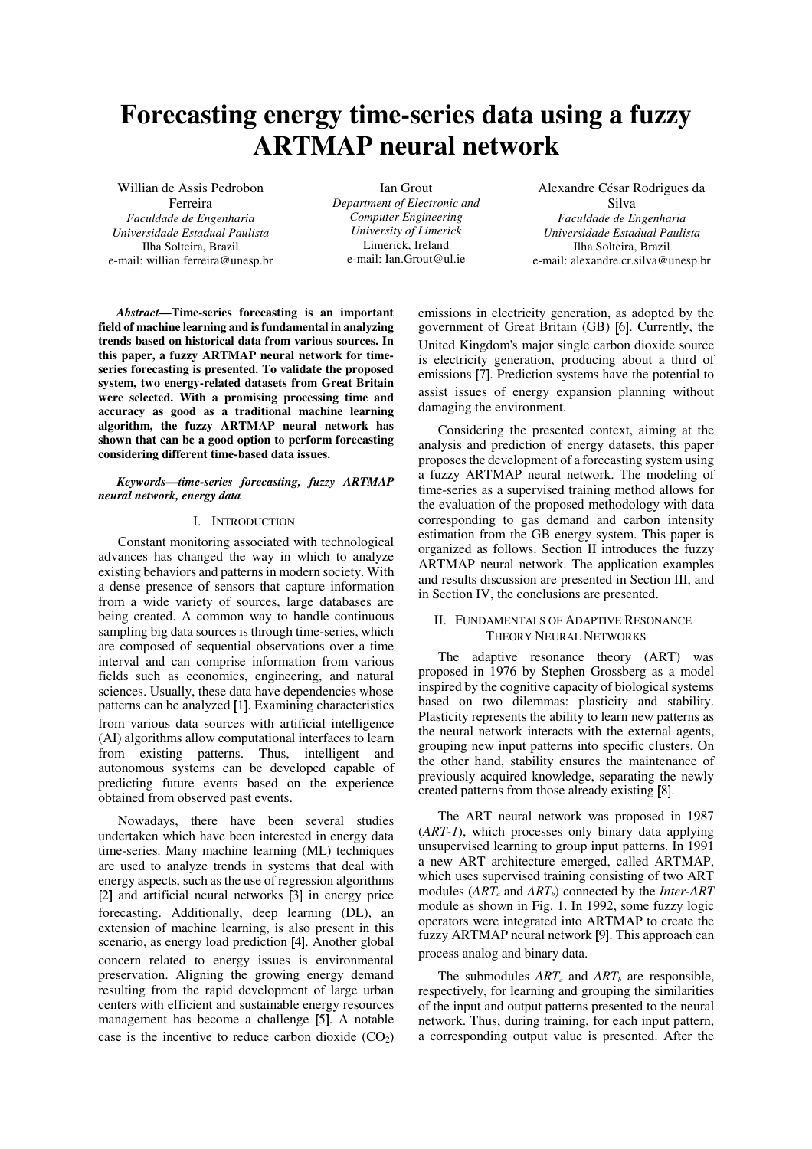# **Forecasting energy time-series data using a fuzzy ARTMAP neural network**

Willian de Assis Pedrobon Ferreira *Faculdade de Engenharia Universidade Estadual Paulista*  Ilha Solteira, Brazil e-mail: willian.ferreira@unesp.br

Ian Grout *Department of Electronic and Computer Engineering University of Limerick*  Limerick, Ireland e-mail: Ian.Grout@ul.ie

Alexandre César Rodrigues da Silva *Faculdade de Engenharia Universidade Estadual Paulista*  Ilha Solteira, Brazil e-mail: alexandre.cr.silva@unesp.br

*Abstract***—Time-series forecasting is an important field of machine learning and is fundamental in analyzing trends based on historical data from various sources. In this paper, a fuzzy ARTMAP neural network for timeseries forecasting is presented. To validate the proposed system, two energy-related datasets from Great Britain were selected. With a promising processing time and accuracy as good as a traditional machine learning algorithm, the fuzzy ARTMAP neural network has shown that can be a good option to perform forecasting considering different time-based data issues.**

#### *Keywords—time-series forecasting, fuzzy ARTMAP neural network, energy data*

### I. INTRODUCTION

Constant monitoring associated with technological advances has changed the way in which to analyze existing behaviors and patterns in modern society. With a dense presence of sensors that capture information from a wide variety of sources, large databases are being created. A common way to handle continuous sampling big data sources is through time-series, which are composed of sequential observations over a time interval and can comprise information from various fields such as economics, engineering, and natural sciences. Usually, these data have dependencies whose patterns can be analyzed [1]. Examining characteristics from various data sources with artificial intelligence (AI) algorithms allow computational interfaces to learn from existing patterns. Thus, intelligent and autonomous systems can be developed capable of predicting future events based on the experience obtained from observed past events.

Nowadays, there have been several studies undertaken which have been interested in energy data time-series. Many machine learning (ML) techniques are used to analyze trends in systems that deal with energy aspects, such as the use of regression algorithms [2] and artificial neural networks [3] in energy price forecasting. Additionally, deep learning (DL), an extension of machine learning, is also present in this scenario, as energy load prediction [4]. Another global concern related to energy issues is environmental preservation. Aligning the growing energy demand resulting from the rapid development of large urban centers with efficient and sustainable energy resources management has become a challenge [5]. A notable case is the incentive to reduce carbon dioxide  $(CO<sub>2</sub>)$  emissions in electricity generation, as adopted by the government of Great Britain (GB) [6]. Currently, the United Kingdom's major single carbon dioxide source is electricity generation, producing about a third of emissions [7]. Prediction systems have the potential to assist issues of energy expansion planning without damaging the environment.

Considering the presented context, aiming at the analysis and prediction of energy datasets, this paper proposes the development of a forecasting system using a fuzzy ARTMAP neural network. The modeling of time-series as a supervised training method allows for the evaluation of the proposed methodology with data corresponding to gas demand and carbon intensity estimation from the GB energy system. This paper is organized as follows. Section II introduces the fuzzy ARTMAP neural network. The application examples and results discussion are presented in Section III, and in Section IV, the conclusions are presented.

## II. FUNDAMENTALS OF ADAPTIVE RESONANCE THEORY NEURAL NETWORKS

The adaptive resonance theory (ART) was proposed in 1976 by Stephen Grossberg as a model inspired by the cognitive capacity of biological systems based on two dilemmas: plasticity and stability. Plasticity represents the ability to learn new patterns as the neural network interacts with the external agents, grouping new input patterns into specific clusters. On the other hand, stability ensures the maintenance of previously acquired knowledge, separating the newly created patterns from those already existing [8].

The ART neural network was proposed in 1987 (*ART-1*), which processes only binary data applying unsupervised learning to group input patterns. In 1991 a new ART architecture emerged, called ARTMAP, which uses supervised training consisting of two ART modules (*ARTa* and *ARTb*) connected by the *Inter-ART* module as shown in Fig. 1. In 1992, some fuzzy logic operators were integrated into ARTMAP to create the fuzzy ARTMAP neural network [9]. This approach can process analog and binary data.

The submodules  $ART_a$  and  $ART_b$  are responsible, respectively, for learning and grouping the similarities of the input and output patterns presented to the neural network. Thus, during training, for each input pattern, a corresponding output value is presented. After the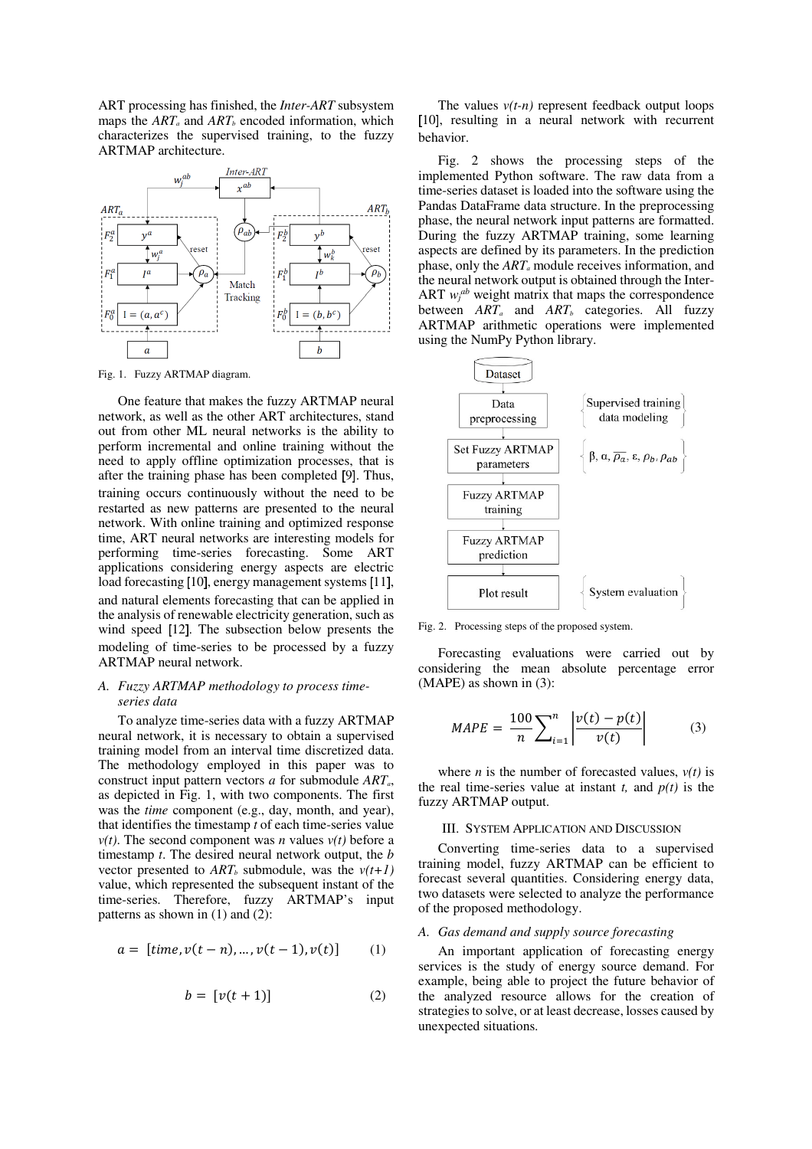ART processing has finished, the *Inter-ART* subsystem maps the *ARTa* and *ARTb* encoded information, which characterizes the supervised training, to the fuzzy ARTMAP architecture.



Fig. 1. Fuzzy ARTMAP diagram.

One feature that makes the fuzzy ARTMAP neural network, as well as the other ART architectures, stand out from other ML neural networks is the ability to perform incremental and online training without the need to apply offline optimization processes, that is after the training phase has been completed [9]. Thus, training occurs continuously without the need to be restarted as new patterns are presented to the neural network. With online training and optimized response time, ART neural networks are interesting models for performing time-series forecasting. Some ART applications considering energy aspects are electric load forecasting [10], energy management systems [11], and natural elements forecasting that can be applied in the analysis of renewable electricity generation, such as wind speed [12]. The subsection below presents the modeling of time-series to be processed by a fuzzy ARTMAP neural network.

## *A. Fuzzy ARTMAP methodology to process timeseries data*

To analyze time-series data with a fuzzy ARTMAP neural network, it is necessary to obtain a supervised training model from an interval time discretized data. The methodology employed in this paper was to construct input pattern vectors *a* for submodule *ARTa*, as depicted in Fig. 1, with two components. The first was the *time* component (e.g., day, month, and year), that identifies the timestamp *t* of each time-series value  $v(t)$ . The second component was *n* values  $v(t)$  before a timestamp *t*. The desired neural network output, the *b* vector presented to  $ART_b$  submodule, was the  $v(t+1)$ value, which represented the subsequent instant of the time-series. Therefore, fuzzy ARTMAP's input patterns as shown in (1) and (2):

$$
a = [time, v(t - n), ..., v(t - 1), v(t)] \qquad (1)
$$

$$
b = [v(t+1)] \tag{2}
$$

The values  $v(t-n)$  represent feedback output loops [10], resulting in a neural network with recurrent behavior.

Fig. 2 shows the processing steps of the implemented Python software. The raw data from a time-series dataset is loaded into the software using the Pandas DataFrame data structure. In the preprocessing phase, the neural network input patterns are formatted. During the fuzzy ARTMAP training, some learning aspects are defined by its parameters. In the prediction phase, only the *ARTa* module receives information, and the neural network output is obtained through the Inter-ART  $w_j^{ab}$  weight matrix that maps the correspondence between *ARTa* and *ARTb* categories. All fuzzy ARTMAP arithmetic operations were implemented using the NumPy Python library.



Fig. 2. Processing steps of the proposed system.

Forecasting evaluations were carried out by considering the mean absolute percentage error (MAPE) as shown in (3):

$$
MAPE = \frac{100}{n} \sum_{i=1}^{n} \left| \frac{v(t) - p(t)}{v(t)} \right| \tag{3}
$$

where *n* is the number of forecasted values,  $v(t)$  is the real time-series value at instant  $t$ , and  $p(t)$  is the fuzzy ARTMAP output.

#### III. SYSTEM APPLICATION AND DISCUSSION

Converting time-series data to a supervised training model, fuzzy ARTMAP can be efficient to forecast several quantities. Considering energy data, two datasets were selected to analyze the performance of the proposed methodology.

## *A. Gas demand and supply source forecasting*

An important application of forecasting energy services is the study of energy source demand. For example, being able to project the future behavior of the analyzed resource allows for the creation of strategies to solve, or at least decrease, losses caused by unexpected situations.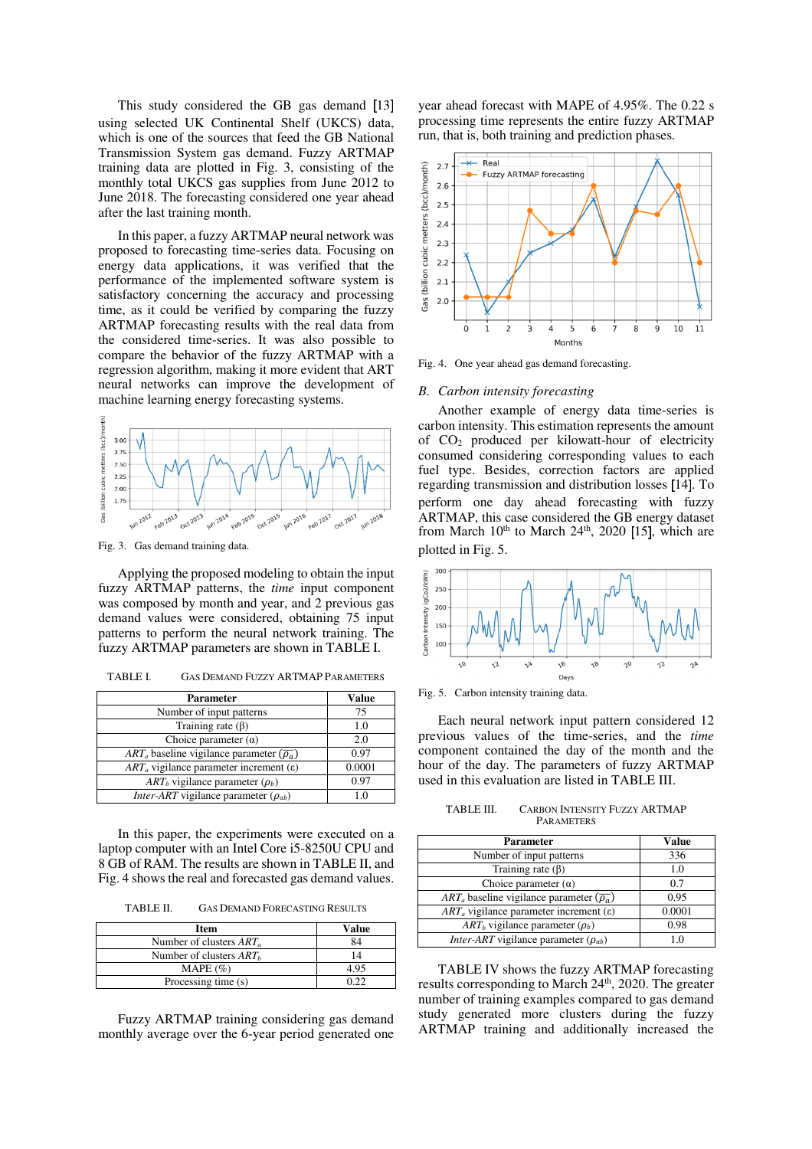This study considered the GB gas demand [13] using selected UK Continental Shelf (UKCS) data, which is one of the sources that feed the GB National Transmission System gas demand. Fuzzy ARTMAP training data are plotted in Fig. 3, consisting of the monthly total UKCS gas supplies from June 2012 to June 2018. The forecasting considered one year ahead after the last training month.

In this paper, a fuzzy ARTMAP neural network was proposed to forecasting time-series data. Focusing on energy data applications, it was verified that the performance of the implemented software system is satisfactory concerning the accuracy and processing time, as it could be verified by comparing the fuzzy ARTMAP forecasting results with the real data from the considered time-series. It was also possible to compare the behavior of the fuzzy ARTMAP with a regression algorithm, making it more evident that ART neural networks can improve the development of machine learning energy forecasting systems.



Fig. 3. Gas demand training data.

Applying the proposed modeling to obtain the input fuzzy ARTMAP patterns, the *time* input component was composed by month and year, and 2 previous gas demand values were considered, obtaining 75 input patterns to perform the neural network training. The fuzzy ARTMAP parameters are shown in TABLE I.

TABLE I. GAS DEMAND FUZZY ARTMAP PARAMETERS

| <b>Parameter</b>                                           | Value  |
|------------------------------------------------------------|--------|
| Number of input patterns                                   | 75     |
| Training rate $(\beta)$                                    | 1.0    |
| Choice parameter $(\alpha)$                                | 2.0    |
| $ART_a$ baseline vigilance parameter $(\overline{\rho_a})$ | 0.97   |
| $ARTa$ vigilance parameter increment ( $\varepsilon$ )     | 0.0001 |
| $ART_b$ vigilance parameter ( $\rho_b$ )                   | 0.97   |
| <i>Inter-ART</i> vigilance parameter $(\rho_{ab})$         | 10     |

In this paper, the experiments were executed on a laptop computer with an Intel Core i5-8250U CPU and 8 GB of RAM. The results are shown in TABLE II, and Fig. 4 shows the real and forecasted gas demand values.

TABLE II. GAS DEMAND FORECASTING RESULTS

| Item                       | Value |
|----------------------------|-------|
| Number of clusters $ART_a$ |       |
| Number of clusters $ARTh$  | 14    |
| MAPE $(\%)$                | 4 9°  |
| Processing time (s)        |       |

Fuzzy ARTMAP training considering gas demand monthly average over the 6-year period generated one

year ahead forecast with MAPE of 4.95%. The 0.22 s processing time represents the entire fuzzy ARTMAP run, that is, both training and prediction phases.



Fig. 4. One year ahead gas demand forecasting.

#### *B. Carbon intensity forecasting*

Another example of energy data time-series is carbon intensity. This estimation represents the amount of CO2 produced per kilowatt-hour of electricity consumed considering corresponding values to each fuel type. Besides, correction factors are applied regarding transmission and distribution losses [14]. To perform one day ahead forecasting with fuzzy ARTMAP, this case considered the GB energy dataset from March  $10<sup>th</sup>$  to March  $24<sup>th</sup>$ ,  $2020$  [15], which are plotted in Fig. 5.



Fig. 5. Carbon intensity training data.

Each neural network input pattern considered 12 previous values of the time-series, and the *time* component contained the day of the month and the hour of the day. The parameters of fuzzy ARTMAP used in this evaluation are listed in TABLE III.

TABLE III. CARBON INTENSITY FUZZY ARTMAP **PARAMETERS** 

| <b>Parameter</b>                                           | Value  |
|------------------------------------------------------------|--------|
| Number of input patterns                                   | 336    |
| Training rate $(\beta)$                                    | 1.0    |
| Choice parameter $(\alpha)$                                | 0.7    |
| $ART_a$ baseline vigilance parameter $(\overline{\rho_a})$ | 0.95   |
| $ARTa$ vigilance parameter increment ( $\varepsilon$ )     | 0.0001 |
| $ART_b$ vigilance parameter $(\rho_b)$                     | 0.98   |
| <i>Inter-ART</i> vigilance parameter $(\rho_{ab})$         | 10     |

TABLE IV shows the fuzzy ARTMAP forecasting results corresponding to March 24<sup>th</sup>, 2020. The greater number of training examples compared to gas demand study generated more clusters during the fuzzy ARTMAP training and additionally increased the